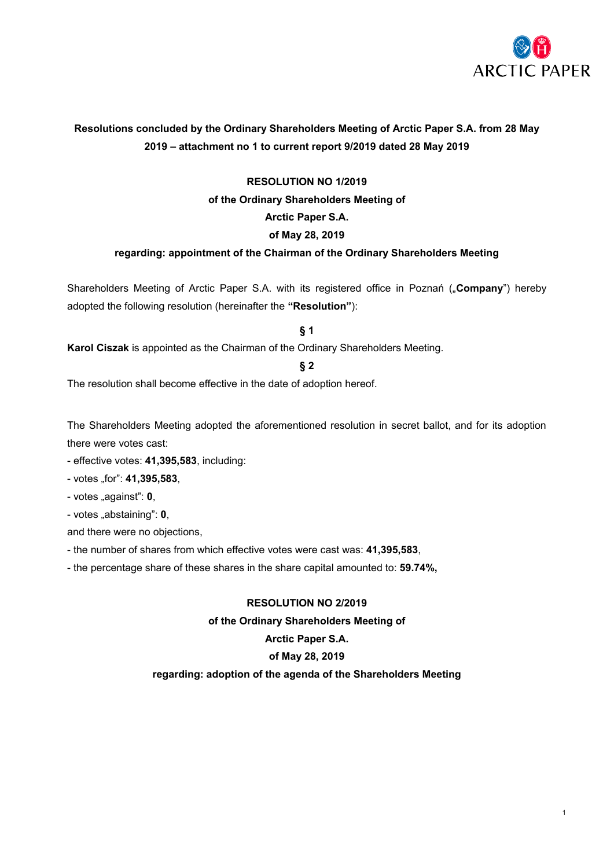

# **Resolutions concluded by the Ordinary Shareholders Meeting of Arctic Paper S.A. from 28 May 2019 – attachment no 1 to current report 9/2019 dated 28 May 2019**

# **RESOLUTION NO 1/2019**

# **of the Ordinary Shareholders Meeting of**

# **Arctic Paper S.A.**

# **of May 28, 2019**

# **regarding: appointment of the Chairman of the Ordinary Shareholders Meeting**

Shareholders Meeting of Arctic Paper S.A. with its registered office in Poznań ("**Company**") hereby adopted the following resolution (hereinafter the **"Resolution"**):

**§ 1**

**Karol Ciszak** is appointed as the Chairman of the Ordinary Shareholders Meeting.

# **§ 2**

The resolution shall become effective in the date of adoption hereof.

The Shareholders Meeting adopted the aforementioned resolution in secret ballot, and for its adoption there were votes cast:

- effective votes: **41,395,583**, including:
- votes "for": **41,395,583**,
- votes "against": 0,
- votes "abstaining": **0**,

and there were no objections,

- the number of shares from which effective votes were cast was: **41,395,583**,
- the percentage share of these shares in the share capital amounted to: **59.74%,**

# **RESOLUTION NO 2/2019**

# **of the Ordinary Shareholders Meeting of**

# **Arctic Paper S.A.**

# **of May 28, 2019**

# **regarding: adoption of the agenda of the Shareholders Meeting**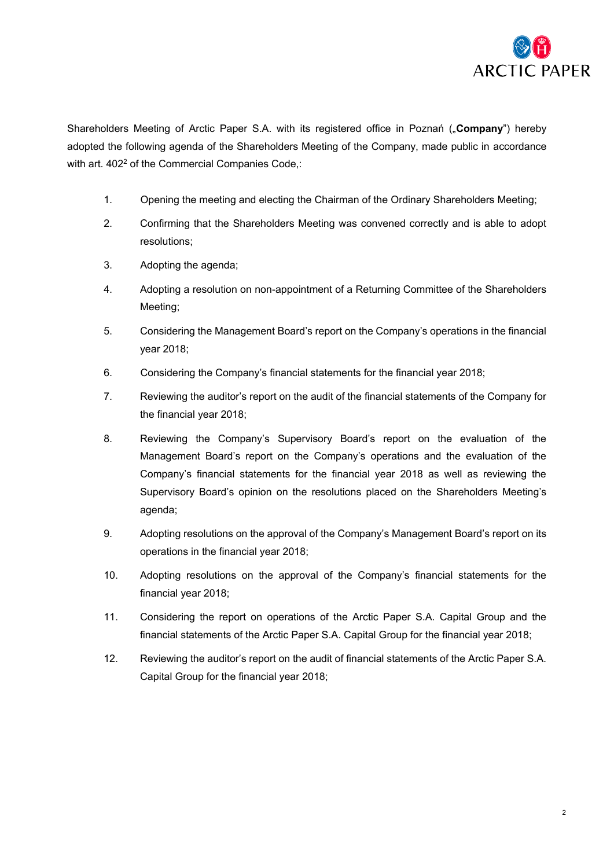

Shareholders Meeting of Arctic Paper S.A. with its registered office in Poznań ("Company") hereby adopted the following agenda of the Shareholders Meeting of the Company, made public in accordance with art. 402<sup>2</sup> of the Commercial Companies Code,:

- 1. Opening the meeting and electing the Chairman of the Ordinary Shareholders Meeting;
- 2. Confirming that the Shareholders Meeting was convened correctly and is able to adopt resolutions;
- 3. Adopting the agenda;
- 4. Adopting a resolution on non-appointment of a Returning Committee of the Shareholders Meeting;
- 5. Considering the Management Board's report on the Company's operations in the financial year 2018;
- 6. Considering the Company's financial statements for the financial year 2018;
- 7. Reviewing the auditor's report on the audit of the financial statements of the Company for the financial year 2018;
- 8. Reviewing the Company's Supervisory Board's report on the evaluation of the Management Board's report on the Company's operations and the evaluation of the Company's financial statements for the financial year 2018 as well as reviewing the Supervisory Board's opinion on the resolutions placed on the Shareholders Meeting's agenda;
- 9. Adopting resolutions on the approval of the Company's Management Board's report on its operations in the financial year 2018;
- 10. Adopting resolutions on the approval of the Company's financial statements for the financial year 2018;
- 11. Considering the report on operations of the Arctic Paper S.A. Capital Group and the financial statements of the Arctic Paper S.A. Capital Group for the financial year 2018;
- 12. Reviewing the auditor's report on the audit of financial statements of the Arctic Paper S.A. Capital Group for the financial year 2018;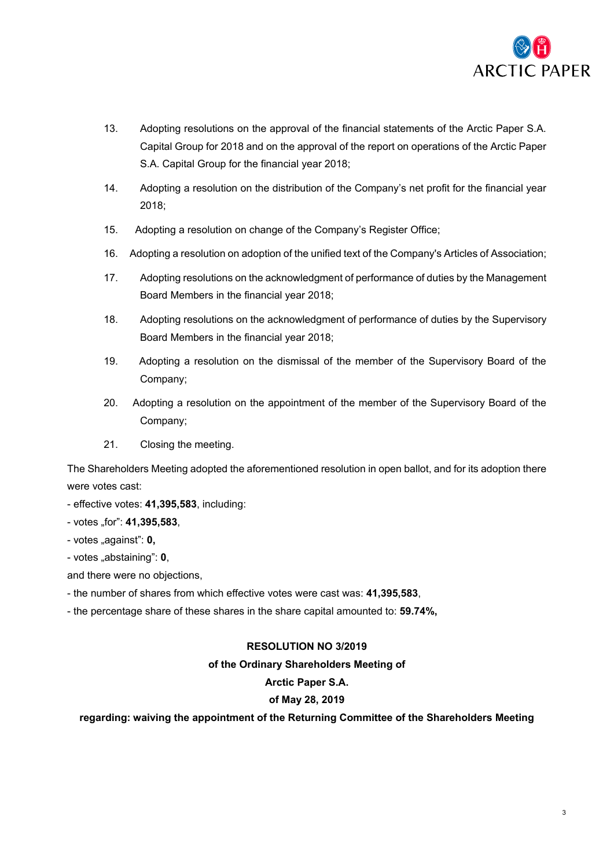

- 13. Adopting resolutions on the approval of the financial statements of the Arctic Paper S.A. Capital Group for 2018 and on the approval of the report on operations of the Arctic Paper S.A. Capital Group for the financial year 2018;
- 14. Adopting a resolution on the distribution of the Company's net profit for the financial year 2018;
- 15. Adopting a resolution on change of the Company's Register Office;
- 16. Adopting a resolution on adoption of the unified text of the Company's Articles of Association;
- 17. Adopting resolutions on the acknowledgment of performance of duties by the Management Board Members in the financial year 2018;
- 18. Adopting resolutions on the acknowledgment of performance of duties by the Supervisory Board Members in the financial year 2018;
- 19. Adopting a resolution on the dismissal of the member of the Supervisory Board of the Company;
- 20. Adopting a resolution on the appointment of the member of the Supervisory Board of the Company;
- 21. Closing the meeting.

The Shareholders Meeting adopted the aforementioned resolution in open ballot, and for its adoption there were votes cast:

- effective votes: **41,395,583**, including:
- votes "for": **41,395,583**,
- votes "against": **0**,
- votes "abstaining": **0**,
- and there were no objections,
- the number of shares from which effective votes were cast was: **41,395,583**,
- the percentage share of these shares in the share capital amounted to: **59.74%,**

# **RESOLUTION NO 3/2019**

### **of the Ordinary Shareholders Meeting of**

# **Arctic Paper S.A.**

# **of May 28, 2019**

# **regarding: waiving the appointment of the Returning Committee of the Shareholders Meeting**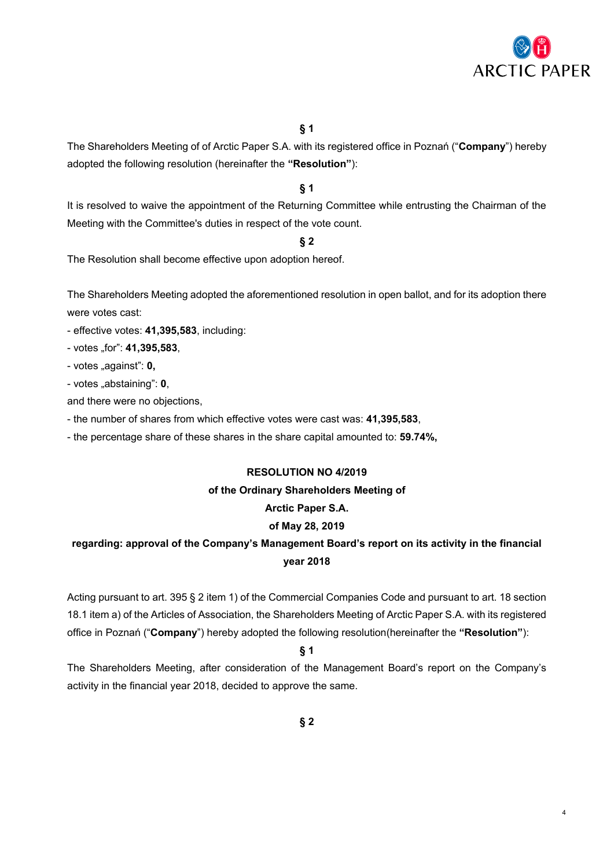

4

The Shareholders Meeting of of Arctic Paper S.A. with its registered office in Poznań ("**Company**") hereby adopted the following resolution (hereinafter the **"Resolution"**):

### **§ 1**

It is resolved to waive the appointment of the Returning Committee while entrusting the Chairman of the Meeting with the Committee's duties in respect of the vote count.

### **§ 2**

The Resolution shall become effective upon adoption hereof.

The Shareholders Meeting adopted the aforementioned resolution in open ballot, and for its adoption there were votes cast:

- effective votes: **41,395,583**, including:
- votes "for": **41,395,583**,
- votes "against": **0**,
- votes "abstaining": **0**,
- and there were no objections,
- the number of shares from which effective votes were cast was: **41,395,583**,
- the percentage share of these shares in the share capital amounted to: **59.74%,**

# **RESOLUTION NO 4/2019**

# **of the Ordinary Shareholders Meeting of**

# **Arctic Paper S.A.**

### **of May 28, 2019**

# **regarding: approval of the Company's Management Board's report on its activity in the financial year 2018**

Acting pursuant to art. 395 § 2 item 1) of the Commercial Companies Code and pursuant to art. 18 section 18.1 item a) of the Articles of Association, the Shareholders Meeting of Arctic Paper S.A. with its registered office in Poznań ("**Company**") hereby adopted the following resolution(hereinafter the **"Resolution"**):

# **§ 1**

The Shareholders Meeting, after consideration of the Management Board's report on the Company's activity in the financial year 2018, decided to approve the same.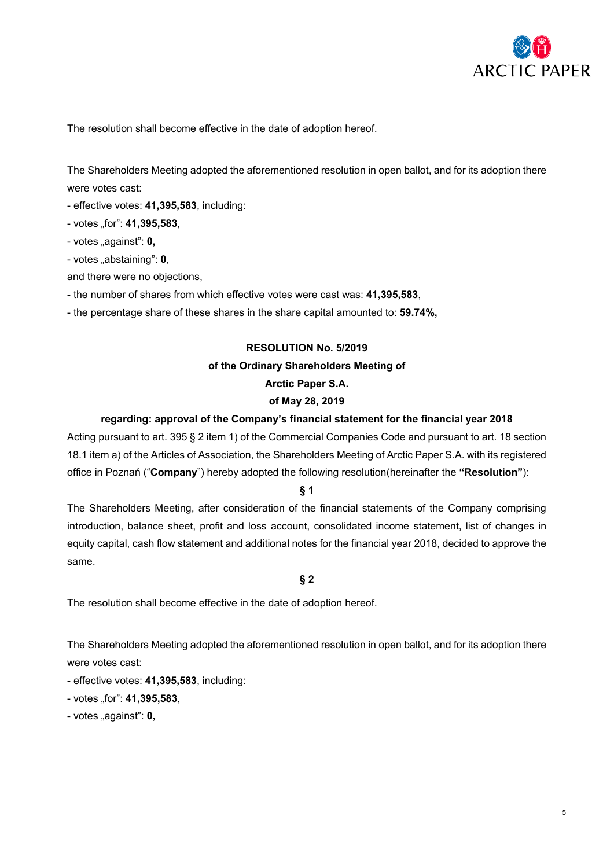

The resolution shall become effective in the date of adoption hereof.

The Shareholders Meeting adopted the aforementioned resolution in open ballot, and for its adoption there were votes cast:

- effective votes: **41,395,583**, including:
- votes "for": **41,395,583**,
- votes "against": **0**,
- votes "abstaining": **0**,
- and there were no objections,
- the number of shares from which effective votes were cast was: **41,395,583**,
- the percentage share of these shares in the share capital amounted to: **59.74%,**

# **RESOLUTION No. 5/2019**

#### **of the Ordinary Shareholders Meeting of**

### **Arctic Paper S.A.**

#### **of May 28, 2019**

#### **regarding: approval of the Company's financial statement for the financial year 2018**

Acting pursuant to art. 395 § 2 item 1) of the Commercial Companies Code and pursuant to art. 18 section 18.1 item a) of the Articles of Association, the Shareholders Meeting of Arctic Paper S.A. with its registered office in Poznań ("**Company**") hereby adopted the following resolution(hereinafter the **"Resolution"**):

#### **§ 1**

The Shareholders Meeting, after consideration of the financial statements of the Company comprising introduction, balance sheet, profit and loss account, consolidated income statement, list of changes in equity capital, cash flow statement and additional notes for the financial year 2018, decided to approve the same.

#### **§ 2**

The resolution shall become effective in the date of adoption hereof.

The Shareholders Meeting adopted the aforementioned resolution in open ballot, and for its adoption there were votes cast:

- effective votes: **41,395,583**, including:
- votes "for": **41,395,583**,
- votes "against": **0**,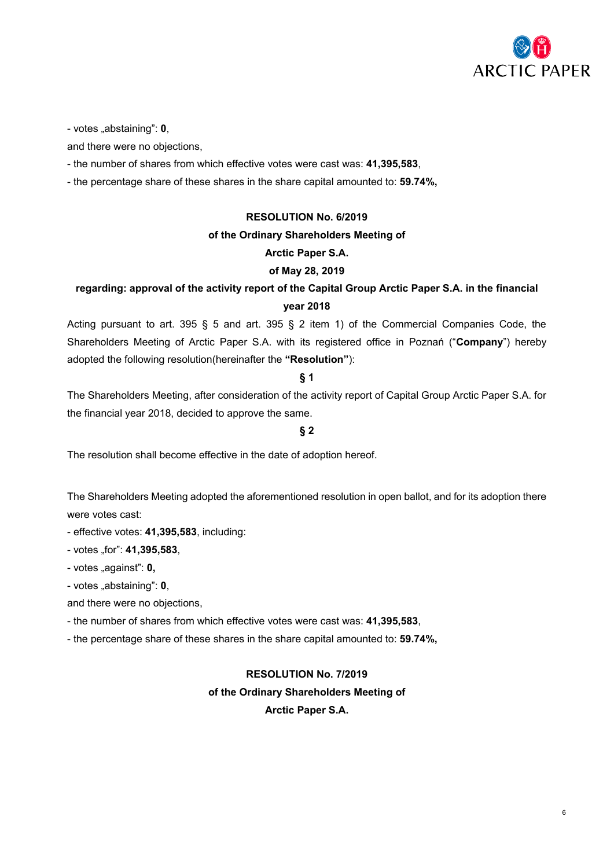

- votes "abstaining": **0**,

and there were no objections,

- the number of shares from which effective votes were cast was: **41,395,583**,
- the percentage share of these shares in the share capital amounted to: **59.74%,**

### **RESOLUTION No. 6/2019**

### **of the Ordinary Shareholders Meeting of**

# **Arctic Paper S.A.**

### **of May 28, 2019**

# **regarding: approval of the activity report of the Capital Group Arctic Paper S.A. in the financial year 2018**

Acting pursuant to art. 395 § 5 and art. 395 § 2 item 1) of the Commercial Companies Code, the Shareholders Meeting of Arctic Paper S.A. with its registered office in Poznań ("**Company**") hereby adopted the following resolution(hereinafter the **"Resolution"**):

# **§ 1**

The Shareholders Meeting, after consideration of the activity report of Capital Group Arctic Paper S.A. for the financial year 2018, decided to approve the same.

### **§ 2**

The resolution shall become effective in the date of adoption hereof.

The Shareholders Meeting adopted the aforementioned resolution in open ballot, and for its adoption there were votes cast:

- effective votes: **41,395,583**, including:
- votes "for": **41,395,583**,
- votes "against": **0**,
- votes "abstaining": **0**,

and there were no objections,

- the number of shares from which effective votes were cast was: **41,395,583**,

- the percentage share of these shares in the share capital amounted to: **59.74%,**

# **RESOLUTION No. 7/2019**

#### **of the Ordinary Shareholders Meeting of**

**Arctic Paper S.A.**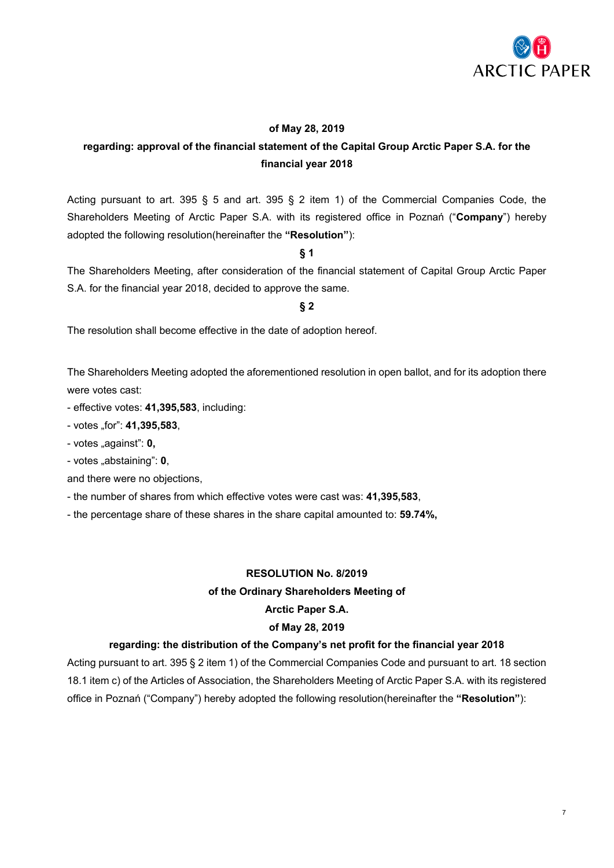

# **of May 28, 2019**

# **regarding: approval of the financial statement of the Capital Group Arctic Paper S.A. for the financial year 2018**

Acting pursuant to art. 395 § 5 and art. 395 § 2 item 1) of the Commercial Companies Code, the Shareholders Meeting of Arctic Paper S.A. with its registered office in Poznań ("**Company**") hereby adopted the following resolution(hereinafter the **"Resolution"**):

**§ 1**

The Shareholders Meeting, after consideration of the financial statement of Capital Group Arctic Paper S.A. for the financial year 2018, decided to approve the same.

# **§ 2**

The resolution shall become effective in the date of adoption hereof.

The Shareholders Meeting adopted the aforementioned resolution in open ballot, and for its adoption there were votes cast:

- effective votes: **41,395,583**, including:

- votes "for": **41,395,583**,

- votes "against": **0**,

- votes "abstaining": **0**,

and there were no objections,

- the number of shares from which effective votes were cast was: **41,395,583**,

- the percentage share of these shares in the share capital amounted to: **59.74%,**

# **RESOLUTION No. 8/2019**

# **of the Ordinary Shareholders Meeting of**

# **Arctic Paper S.A.**

#### **of May 28, 2019**

#### **regarding: the distribution of the Company's net profit for the financial year 2018**

Acting pursuant to art. 395 § 2 item 1) of the Commercial Companies Code and pursuant to art. 18 section 18.1 item c) of the Articles of Association, the Shareholders Meeting of Arctic Paper S.A. with its registered office in Poznań ("Company") hereby adopted the following resolution(hereinafter the **"Resolution"**):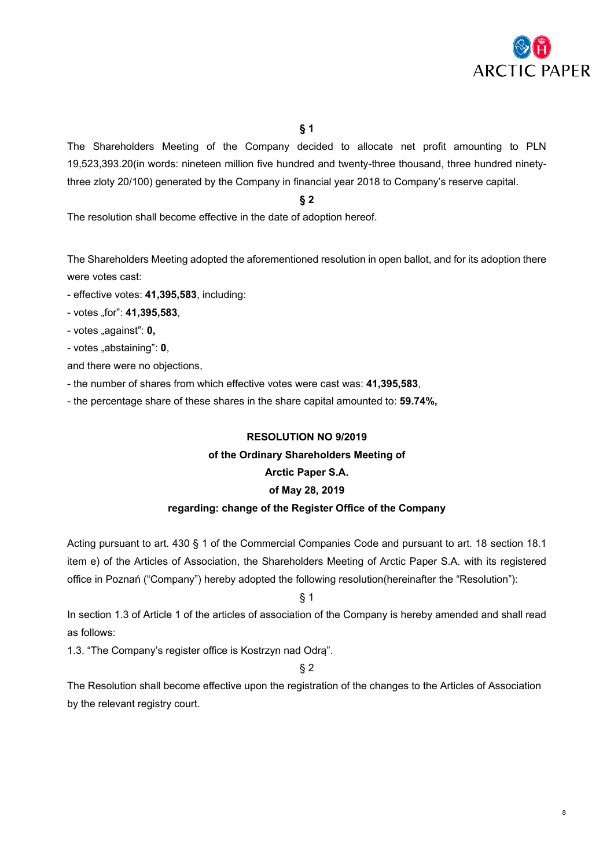

The Shareholders Meeting of the Company decided to allocate net profit amounting to PLN 19,523,393.20(in words: nineteen million five hundred and twenty-three thousand, three hundred ninetythree zloty 20/100) generated by the Company in financial year 2018 to Company's reserve capital.

**§ 2**

The resolution shall become effective in the date of adoption hereof.

The Shareholders Meeting adopted the aforementioned resolution in open ballot, and for its adoption there were votes cast:

- effective votes: **41,395,583**, including:
- votes "for": **41,395,583**,
- votes "against": **0**,
- votes "abstaining": **0**,

and there were no objections,

- the number of shares from which effective votes were cast was: **41,395,583**,
- the percentage share of these shares in the share capital amounted to: **59.74%,**

# **RESOLUTION NO 9/2019 of the Ordinary Shareholders Meeting of Arctic Paper S.A. of May 28, 2019 regarding: change of the Register Office of the Company**

Acting pursuant to art. 430 § 1 of the Commercial Companies Code and pursuant to art. 18 section 18.1 item e) of the Articles of Association, the Shareholders Meeting of Arctic Paper S.A. with its registered office in Poznań ("Company") hereby adopted the following resolution(hereinafter the "Resolution"):

§ 1

In section 1.3 of Article 1 of the articles of association of the Company is hereby amended and shall read as follows:

1.3. "The Company's register office is Kostrzyn nad Odrą".

§ 2

The Resolution shall become effective upon the registration of the changes to the Articles of Association by the relevant registry court.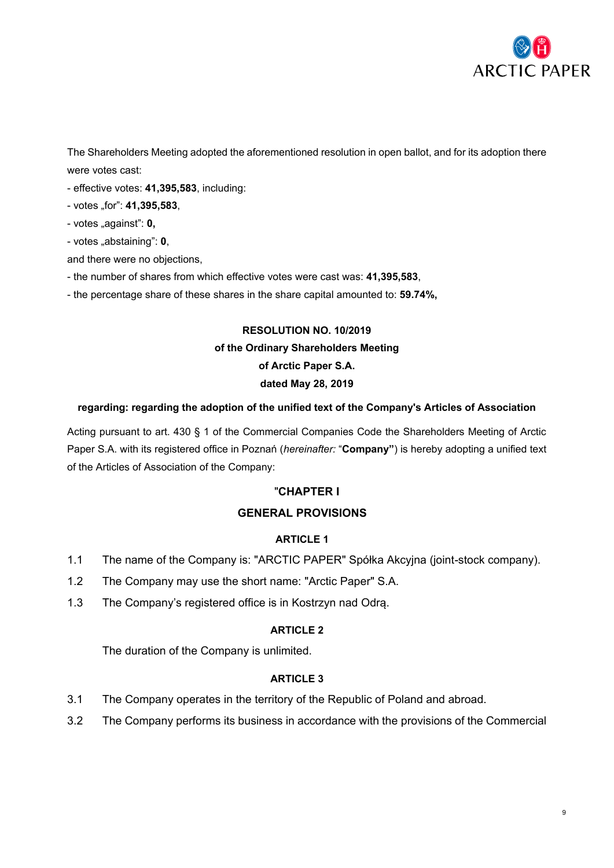

The Shareholders Meeting adopted the aforementioned resolution in open ballot, and for its adoption there were votes cast:

- effective votes: **41,395,583**, including:
- votes "for": **41,395,583**,
- votes "against": **0**,
- votes "abstaining": **0**,
- and there were no objections,
- the number of shares from which effective votes were cast was: **41,395,583**,
- the percentage share of these shares in the share capital amounted to: **59.74%,**

# **RESOLUTION NO. 10/2019 of the Ordinary Shareholders Meeting of Arctic Paper S.A. dated May 28, 2019**

### **regarding: regarding the adoption of the unified text of the Company's Articles of Association**

Acting pursuant to art. 430 § 1 of the Commercial Companies Code the Shareholders Meeting of Arctic Paper S.A. with its registered office in Poznań (*hereinafter:* "**Company"**) is hereby adopting a unified text of the Articles of Association of the Company:

# "**CHAPTER I**

# **GENERAL PROVISIONS**

# **ARTICLE 1**

- 1.1 The name of the Company is: "ARCTIC PAPER" Spółka Akcyjna (joint-stock company).
- 1.2 The Company may use the short name: "Arctic Paper" S.A.
- 1.3 The Company's registered office is in Kostrzyn nad Odrą.

# **ARTICLE 2**

The duration of the Company is unlimited.

- 3.1 The Company operates in the territory of the Republic of Poland and abroad.
- 3.2 The Company performs its business in accordance with the provisions of the Commercial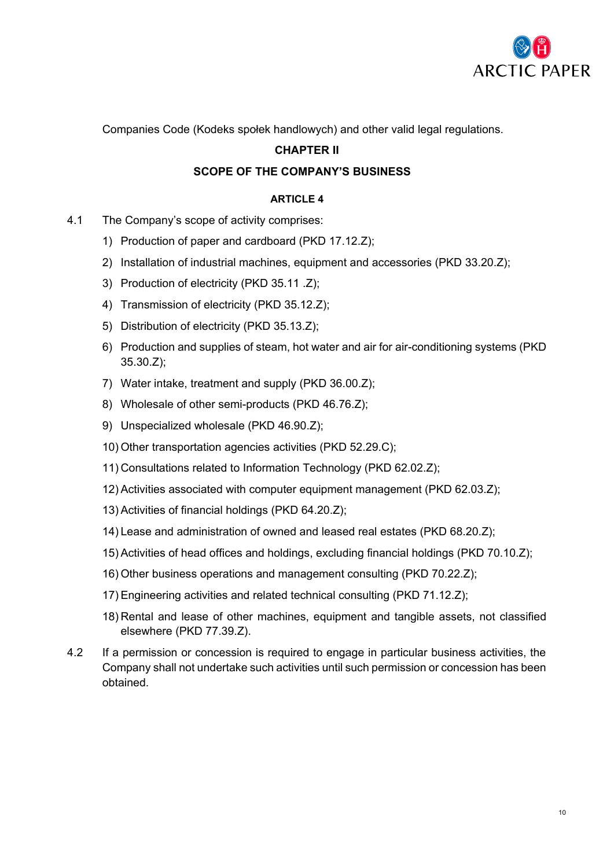

Companies Code (Kodeks społek handlowych) and other valid legal regulations.

# **CHAPTER II**

# **SCOPE OF THE COMPANY'S BUSINESS**

- 4.1 The Company's scope of activity comprises:
	- 1) Production of paper and cardboard (PKD 17.12.Z);
	- 2) Installation of industrial machines, equipment and accessories (PKD 33.20.Z);
	- 3) Production of electricity (PKD 35.11 .Z);
	- 4) Transmission of electricity (PKD 35.12.Z);
	- 5) Distribution of electricity (PKD 35.13.Z);
	- 6) Production and supplies of steam, hot water and air for air-conditioning systems (PKD 35.30.Z);
	- 7) Water intake, treatment and supply (PKD 36.00.Z);
	- 8) Wholesale of other semi-products (PKD 46.76.Z);
	- 9) Unspecialized wholesale (PKD 46.90.Z);
	- 10) Other transportation agencies activities (PKD 52.29.C);
	- 11) Consultations related to Information Technology (PKD 62.02.Z);
	- 12) Activities associated with computer equipment management (PKD 62.03.Z);
	- 13) Activities of financial holdings (PKD 64.20.Z);
	- 14) Lease and administration of owned and leased real estates (PKD 68.20.Z);
	- 15) Activities of head offices and holdings, excluding financial holdings (PKD 70.10.Z);
	- 16) Other business operations and management consulting (PKD 70.22.Z);
	- 17) Engineering activities and related technical consulting (PKD 71.12.Z);
	- 18) Rental and lease of other machines, equipment and tangible assets, not classified elsewhere (PKD 77.39.Z).
- 4.2 If a permission or concession is required to engage in particular business activities, the Company shall not undertake such activities until such permission or concession has been obtained.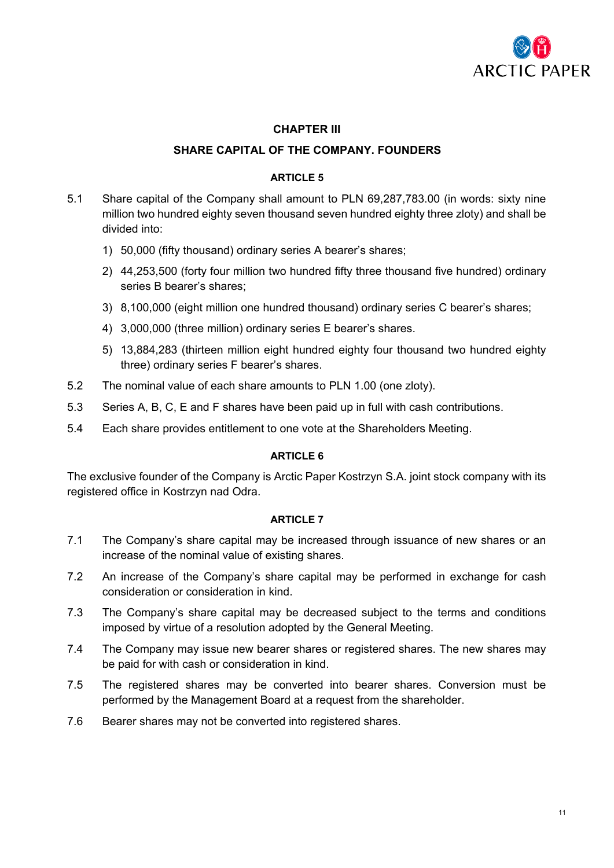

# **CHAPTER III**

# **SHARE CAPITAL OF THE COMPANY. FOUNDERS**

# **ARTICLE 5**

- 5.1 Share capital of the Company shall amount to PLN 69,287,783.00 (in words: sixty nine million two hundred eighty seven thousand seven hundred eighty three zloty) and shall be divided into:
	- 1) 50,000 (fifty thousand) ordinary series A bearer's shares;
	- 2) 44,253,500 (forty four million two hundred fifty three thousand five hundred) ordinary series B bearer's shares;
	- 3) 8,100,000 (eight million one hundred thousand) ordinary series C bearer's shares;
	- 4) 3,000,000 (three million) ordinary series E bearer's shares.
	- 5) 13,884,283 (thirteen million eight hundred eighty four thousand two hundred eighty three) ordinary series F bearer's shares.
- 5.2 The nominal value of each share amounts to PLN 1.00 (one zloty).
- 5.3 Series A, B, C, E and F shares have been paid up in full with cash contributions.
- 5.4 Each share provides entitlement to one vote at the Shareholders Meeting.

# **ARTICLE 6**

The exclusive founder of the Company is Arctic Paper Kostrzyn S.A. joint stock company with its registered office in Kostrzyn nad Odra.

- 7.1 The Company's share capital may be increased through issuance of new shares or an increase of the nominal value of existing shares.
- 7.2 An increase of the Company's share capital may be performed in exchange for cash consideration or consideration in kind.
- 7.3 The Company's share capital may be decreased subject to the terms and conditions imposed by virtue of a resolution adopted by the General Meeting.
- 7.4 The Company may issue new bearer shares or registered shares. The new shares may be paid for with cash or consideration in kind.
- 7.5 The registered shares may be converted into bearer shares. Conversion must be performed by the Management Board at a request from the shareholder.
- 7.6 Bearer shares may not be converted into registered shares.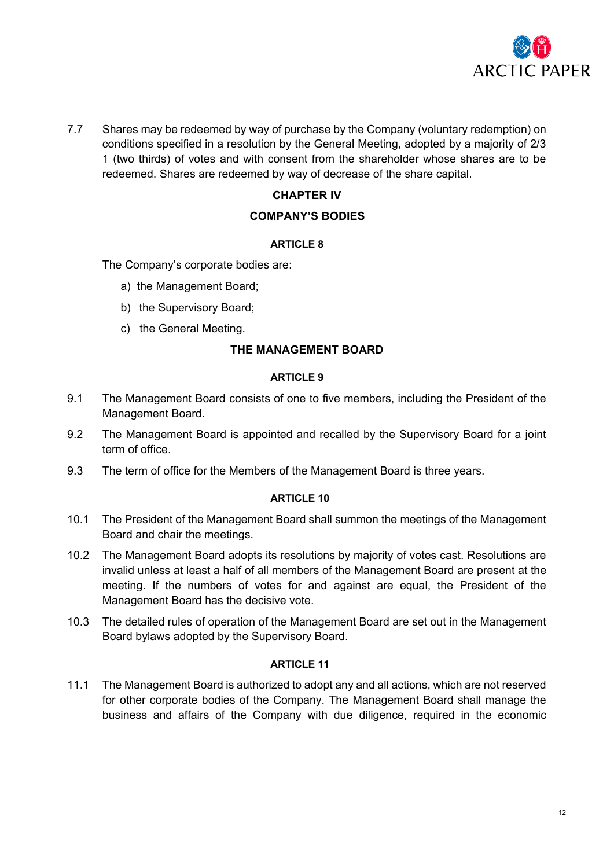

7.7 Shares may be redeemed by way of purchase by the Company (voluntary redemption) on conditions specified in a resolution by the General Meeting, adopted by a majority of 2/3 1 (two thirds) of votes and with consent from the shareholder whose shares are to be redeemed. Shares are redeemed by way of decrease of the share capital.

# **CHAPTER IV**

# **COMPANY'S BODIES**

# **ARTICLE 8**

The Company's corporate bodies are:

- a) the Management Board;
- b) the Supervisory Board;
- c) the General Meeting.

# **THE MANAGEMENT BOARD**

# **ARTICLE 9**

- 9.1 The Management Board consists of one to five members, including the President of the Management Board.
- 9.2 The Management Board is appointed and recalled by the Supervisory Board for a joint term of office.
- 9.3 The term of office for the Members of the Management Board is three years.

# **ARTICLE 10**

- 10.1 The President of the Management Board shall summon the meetings of the Management Board and chair the meetings.
- 10.2 The Management Board adopts its resolutions by majority of votes cast. Resolutions are invalid unless at least a half of all members of the Management Board are present at the meeting. If the numbers of votes for and against are equal, the President of the Management Board has the decisive vote.
- 10.3 The detailed rules of operation of the Management Board are set out in the Management Board bylaws adopted by the Supervisory Board.

# **ARTICLE 11**

11.1 The Management Board is authorized to adopt any and all actions, which are not reserved for other corporate bodies of the Company. The Management Board shall manage the business and affairs of the Company with due diligence, required in the economic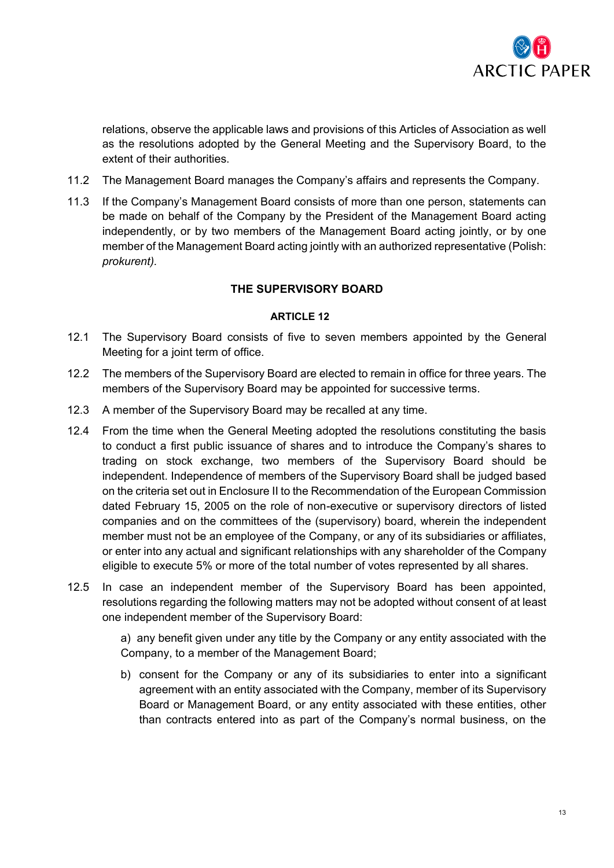

relations, observe the applicable laws and provisions of this Articles of Association as well as the resolutions adopted by the General Meeting and the Supervisory Board, to the extent of their authorities.

- 11.2 The Management Board manages the Company's affairs and represents the Company.
- 11.3 If the Company's Management Board consists of more than one person, statements can be made on behalf of the Company by the President of the Management Board acting independently, or by two members of the Management Board acting jointly, or by one member of the Management Board acting jointly with an authorized representative (Polish: *prokurent).*

# **THE SUPERVISORY BOARD**

# **ARTICLE 12**

- 12.1 The Supervisory Board consists of five to seven members appointed by the General Meeting for a joint term of office.
- 12.2 The members of the Supervisory Board are elected to remain in office for three years. The members of the Supervisory Board may be appointed for successive terms.
- 12.3 A member of the Supervisory Board may be recalled at any time.
- 12.4 From the time when the General Meeting adopted the resolutions constituting the basis to conduct a first public issuance of shares and to introduce the Company's shares to trading on stock exchange, two members of the Supervisory Board should be independent. Independence of members of the Supervisory Board shall be judged based on the criteria set out in Enclosure II to the Recommendation of the European Commission dated February 15, 2005 on the role of non-executive or supervisory directors of listed companies and on the committees of the (supervisory) board, wherein the independent member must not be an employee of the Company, or any of its subsidiaries or affiliates, or enter into any actual and significant relationships with any shareholder of the Company eligible to execute 5% or more of the total number of votes represented by all shares.
- 12.5 In case an independent member of the Supervisory Board has been appointed, resolutions regarding the following matters may not be adopted without consent of at least one independent member of the Supervisory Board:

a) any benefit given under any title by the Company or any entity associated with the Company, to a member of the Management Board;

b) consent for the Company or any of its subsidiaries to enter into a significant agreement with an entity associated with the Company, member of its Supervisory Board or Management Board, or any entity associated with these entities, other than contracts entered into as part of the Company's normal business, on the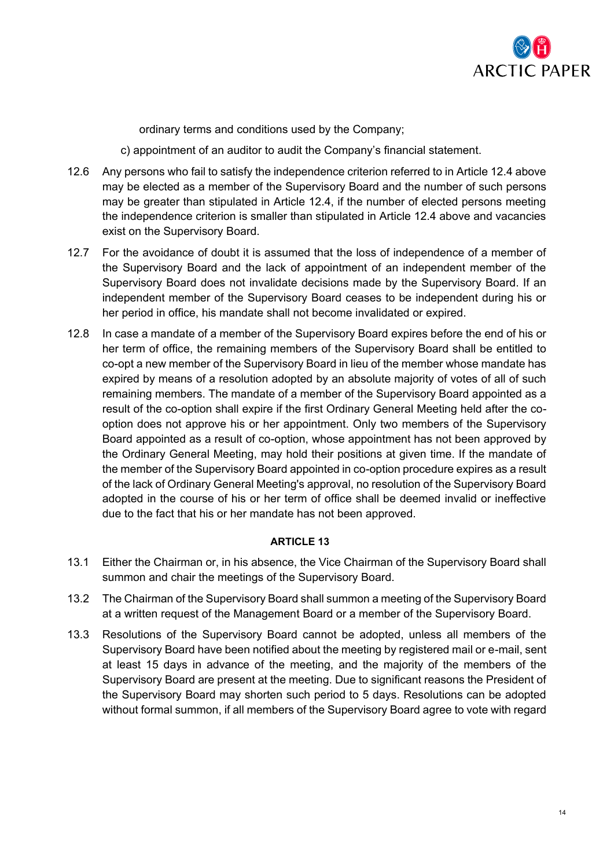

ordinary terms and conditions used by the Company;

- c) appointment of an auditor to audit the Company's financial statement.
- 12.6 Any persons who fail to satisfy the independence criterion referred to in Article 12.4 above may be elected as a member of the Supervisory Board and the number of such persons may be greater than stipulated in Article 12.4, if the number of elected persons meeting the independence criterion is smaller than stipulated in Article 12.4 above and vacancies exist on the Supervisory Board.
- 12.7 For the avoidance of doubt it is assumed that the loss of independence of a member of the Supervisory Board and the lack of appointment of an independent member of the Supervisory Board does not invalidate decisions made by the Supervisory Board. If an independent member of the Supervisory Board ceases to be independent during his or her period in office, his mandate shall not become invalidated or expired.
- 12.8 In case a mandate of a member of the Supervisory Board expires before the end of his or her term of office, the remaining members of the Supervisory Board shall be entitled to co-opt a new member of the Supervisory Board in lieu of the member whose mandate has expired by means of a resolution adopted by an absolute majority of votes of all of such remaining members. The mandate of a member of the Supervisory Board appointed as a result of the co-option shall expire if the first Ordinary General Meeting held after the cooption does not approve his or her appointment. Only two members of the Supervisory Board appointed as a result of co-option, whose appointment has not been approved by the Ordinary General Meeting, may hold their positions at given time. If the mandate of the member of the Supervisory Board appointed in co-option procedure expires as a result of the lack of Ordinary General Meeting's approval, no resolution of the Supervisory Board adopted in the course of his or her term of office shall be deemed invalid or ineffective due to the fact that his or her mandate has not been approved.

- 13.1 Either the Chairman or, in his absence, the Vice Chairman of the Supervisory Board shall summon and chair the meetings of the Supervisory Board.
- 13.2 The Chairman of the Supervisory Board shall summon a meeting of the Supervisory Board at a written request of the Management Board or a member of the Supervisory Board.
- 13.3 Resolutions of the Supervisory Board cannot be adopted, unless all members of the Supervisory Board have been notified about the meeting by registered mail or e-mail, sent at least 15 days in advance of the meeting, and the majority of the members of the Supervisory Board are present at the meeting. Due to significant reasons the President of the Supervisory Board may shorten such period to 5 days. Resolutions can be adopted without formal summon, if all members of the Supervisory Board agree to vote with regard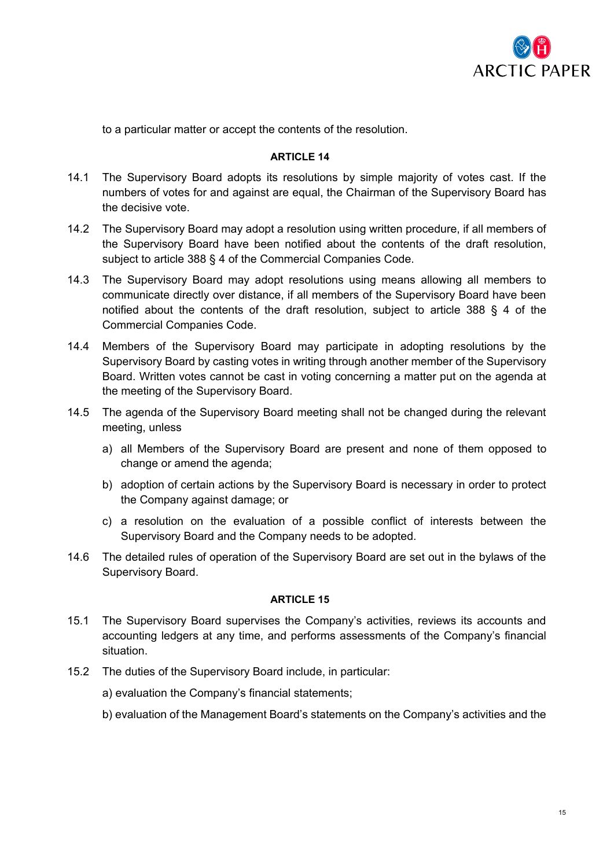

to a particular matter or accept the contents of the resolution.

# **ARTICLE 14**

- 14.1 The Supervisory Board adopts its resolutions by simple majority of votes cast. If the numbers of votes for and against are equal, the Chairman of the Supervisory Board has the decisive vote.
- 14.2 The Supervisory Board may adopt a resolution using written procedure, if all members of the Supervisory Board have been notified about the contents of the draft resolution, subject to article 388 § 4 of the Commercial Companies Code.
- 14.3 The Supervisory Board may adopt resolutions using means allowing all members to communicate directly over distance, if all members of the Supervisory Board have been notified about the contents of the draft resolution, subject to article 388 § 4 of the Commercial Companies Code.
- 14.4 Members of the Supervisory Board may participate in adopting resolutions by the Supervisory Board by casting votes in writing through another member of the Supervisory Board. Written votes cannot be cast in voting concerning a matter put on the agenda at the meeting of the Supervisory Board.
- 14.5 The agenda of the Supervisory Board meeting shall not be changed during the relevant meeting, unless
	- a) all Members of the Supervisory Board are present and none of them opposed to change or amend the agenda;
	- b) adoption of certain actions by the Supervisory Board is necessary in order to protect the Company against damage; or
	- c) a resolution on the evaluation of a possible conflict of interests between the Supervisory Board and the Company needs to be adopted.
- 14.6 The detailed rules of operation of the Supervisory Board are set out in the bylaws of the Supervisory Board.

- 15.1 The Supervisory Board supervises the Company's activities, reviews its accounts and accounting ledgers at any time, and performs assessments of the Company's financial situation.
- 15.2 The duties of the Supervisory Board include, in particular:
	- a) evaluation the Company's financial statements;
	- b) evaluation of the Management Board's statements on the Company's activities and the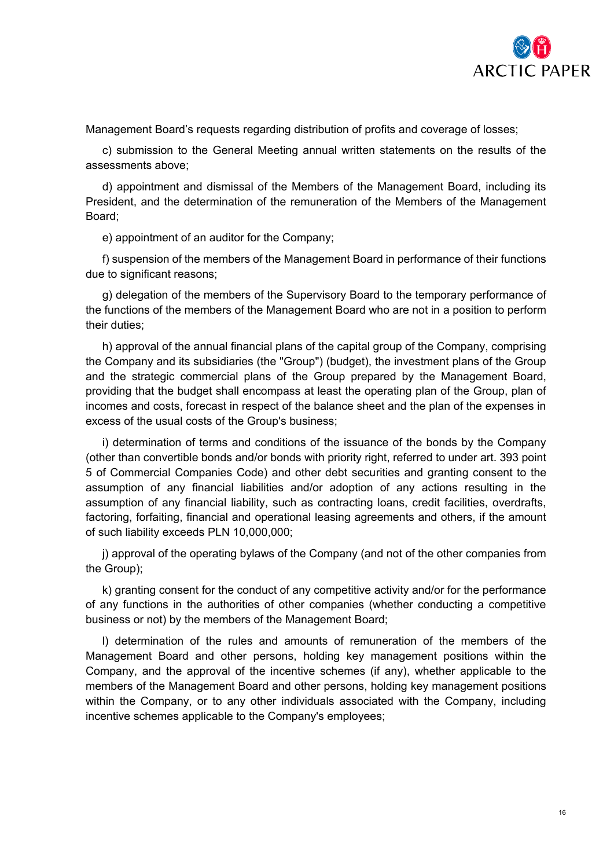

Management Board's requests regarding distribution of profits and coverage of losses;

c) submission to the General Meeting annual written statements on the results of the assessments above;

d) appointment and dismissal of the Members of the Management Board, including its President, and the determination of the remuneration of the Members of the Management Board;

e) appointment of an auditor for the Company;

f) suspension of the members of the Management Board in performance of their functions due to significant reasons;

g) delegation of the members of the Supervisory Board to the temporary performance of the functions of the members of the Management Board who are not in a position to perform their duties;

h) approval of the annual financial plans of the capital group of the Company, comprising the Company and its subsidiaries (the "Group") (budget), the investment plans of the Group and the strategic commercial plans of the Group prepared by the Management Board, providing that the budget shall encompass at least the operating plan of the Group, plan of incomes and costs, forecast in respect of the balance sheet and the plan of the expenses in excess of the usual costs of the Group's business;

i) determination of terms and conditions of the issuance of the bonds by the Company (other than convertible bonds and/or bonds with priority right, referred to under art. 393 point 5 of Commercial Companies Code) and other debt securities and granting consent to the assumption of any financial liabilities and/or adoption of any actions resulting in the assumption of any financial liability, such as contracting loans, credit facilities, overdrafts, factoring, forfaiting, financial and operational leasing agreements and others, if the amount of such liability exceeds PLN 10,000,000;

j) approval of the operating bylaws of the Company (and not of the other companies from the Group);

k) granting consent for the conduct of any competitive activity and/or for the performance of any functions in the authorities of other companies (whether conducting a competitive business or not) by the members of the Management Board;

l) determination of the rules and amounts of remuneration of the members of the Management Board and other persons, holding key management positions within the Company, and the approval of the incentive schemes (if any), whether applicable to the members of the Management Board and other persons, holding key management positions within the Company, or to any other individuals associated with the Company, including incentive schemes applicable to the Company's employees;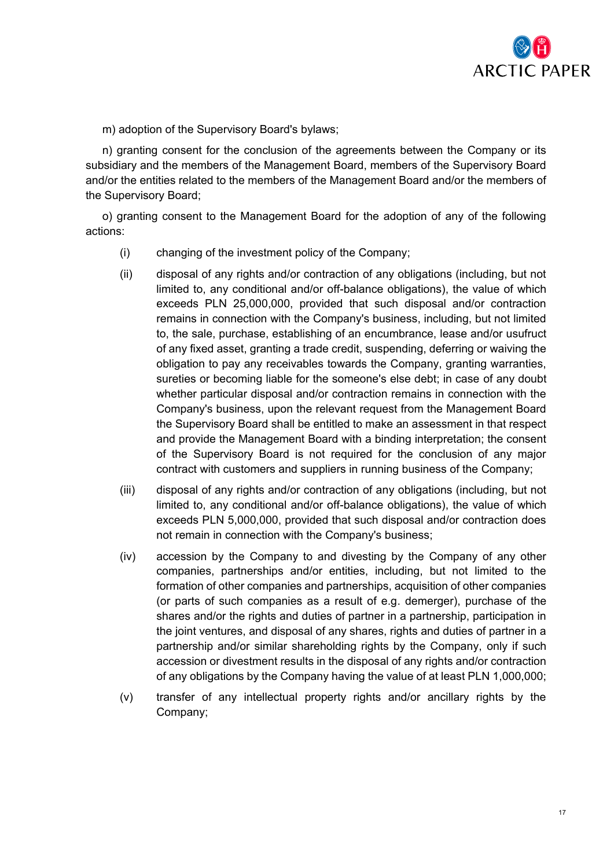

m) adoption of the Supervisory Board's bylaws;

n) granting consent for the conclusion of the agreements between the Company or its subsidiary and the members of the Management Board, members of the Supervisory Board and/or the entities related to the members of the Management Board and/or the members of the Supervisory Board;

o) granting consent to the Management Board for the adoption of any of the following actions:

- (i) changing of the investment policy of the Company;
- (ii) disposal of any rights and/or contraction of any obligations (including, but not limited to, any conditional and/or off-balance obligations), the value of which exceeds PLN 25,000,000, provided that such disposal and/or contraction remains in connection with the Company's business, including, but not limited to, the sale, purchase, establishing of an encumbrance, lease and/or usufruct of any fixed asset, granting a trade credit, suspending, deferring or waiving the obligation to pay any receivables towards the Company, granting warranties, sureties or becoming liable for the someone's else debt; in case of any doubt whether particular disposal and/or contraction remains in connection with the Company's business, upon the relevant request from the Management Board the Supervisory Board shall be entitled to make an assessment in that respect and provide the Management Board with a binding interpretation; the consent of the Supervisory Board is not required for the conclusion of any major contract with customers and suppliers in running business of the Company;
- (iii) disposal of any rights and/or contraction of any obligations (including, but not limited to, any conditional and/or off-balance obligations), the value of which exceeds PLN 5,000,000, provided that such disposal and/or contraction does not remain in connection with the Company's business;
- (iv) accession by the Company to and divesting by the Company of any other companies, partnerships and/or entities, including, but not limited to the formation of other companies and partnerships, acquisition of other companies (or parts of such companies as a result of e.g. demerger), purchase of the shares and/or the rights and duties of partner in a partnership, participation in the joint ventures, and disposal of any shares, rights and duties of partner in a partnership and/or similar shareholding rights by the Company, only if such accession or divestment results in the disposal of any rights and/or contraction of any obligations by the Company having the value of at least PLN 1,000,000;
- (v) transfer of any intellectual property rights and/or ancillary rights by the Company;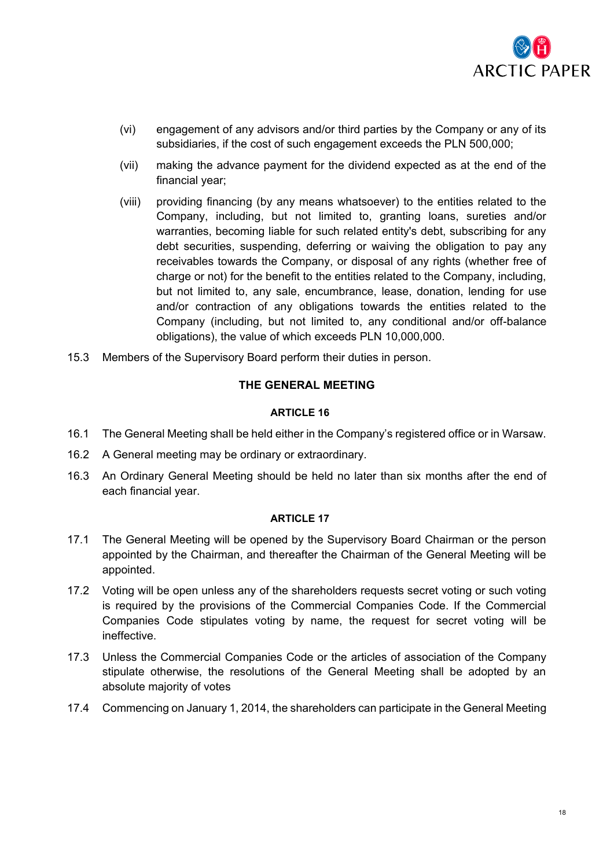

- (vi) engagement of any advisors and/or third parties by the Company or any of its subsidiaries, if the cost of such engagement exceeds the PLN 500,000;
- (vii) making the advance payment for the dividend expected as at the end of the financial year;
- (viii) providing financing (by any means whatsoever) to the entities related to the Company, including, but not limited to, granting loans, sureties and/or warranties, becoming liable for such related entity's debt, subscribing for any debt securities, suspending, deferring or waiving the obligation to pay any receivables towards the Company, or disposal of any rights (whether free of charge or not) for the benefit to the entities related to the Company, including, but not limited to, any sale, encumbrance, lease, donation, lending for use and/or contraction of any obligations towards the entities related to the Company (including, but not limited to, any conditional and/or off-balance obligations), the value of which exceeds PLN 10,000,000.
- 15.3 Members of the Supervisory Board perform their duties in person.

# **THE GENERAL MEETING**

# **ARTICLE 16**

- 16.1 The General Meeting shall be held either in the Company's registered office or in Warsaw.
- 16.2 A General meeting may be ordinary or extraordinary.
- 16.3 An Ordinary General Meeting should be held no later than six months after the end of each financial year.

- 17.1 The General Meeting will be opened by the Supervisory Board Chairman or the person appointed by the Chairman, and thereafter the Chairman of the General Meeting will be appointed.
- 17.2 Voting will be open unless any of the shareholders requests secret voting or such voting is required by the provisions of the Commercial Companies Code. If the Commercial Companies Code stipulates voting by name, the request for secret voting will be ineffective.
- 17.3 Unless the Commercial Companies Code or the articles of association of the Company stipulate otherwise, the resolutions of the General Meeting shall be adopted by an absolute majority of votes
- 17.4 Commencing on January 1, 2014, the shareholders can participate in the General Meeting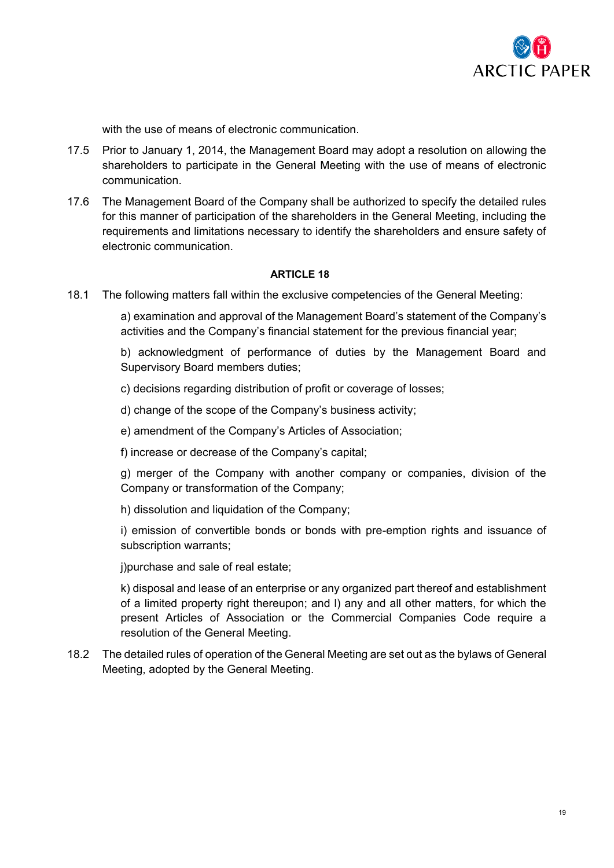

with the use of means of electronic communication.

- 17.5 Prior to January 1, 2014, the Management Board may adopt a resolution on allowing the shareholders to participate in the General Meeting with the use of means of electronic communication.
- 17.6 The Management Board of the Company shall be authorized to specify the detailed rules for this manner of participation of the shareholders in the General Meeting, including the requirements and limitations necessary to identify the shareholders and ensure safety of electronic communication.

# **ARTICLE 18**

18.1 The following matters fall within the exclusive competencies of the General Meeting:

a) examination and approval of the Management Board's statement of the Company's activities and the Company's financial statement for the previous financial year;

b) acknowledgment of performance of duties by the Management Board and Supervisory Board members duties;

c) decisions regarding distribution of profit or coverage of losses;

- d) change of the scope of the Company's business activity;
- e) amendment of the Company's Articles of Association;
- f) increase or decrease of the Company's capital;

g) merger of the Company with another company or companies, division of the Company or transformation of the Company;

h) dissolution and liquidation of the Company;

i) emission of convertible bonds or bonds with pre-emption rights and issuance of subscription warrants;

j)purchase and sale of real estate;

k) disposal and lease of an enterprise or any organized part thereof and establishment of a limited property right thereupon; and l) any and all other matters, for which the present Articles of Association or the Commercial Companies Code require a resolution of the General Meeting.

18.2 The detailed rules of operation of the General Meeting are set out as the bylaws of General Meeting, adopted by the General Meeting.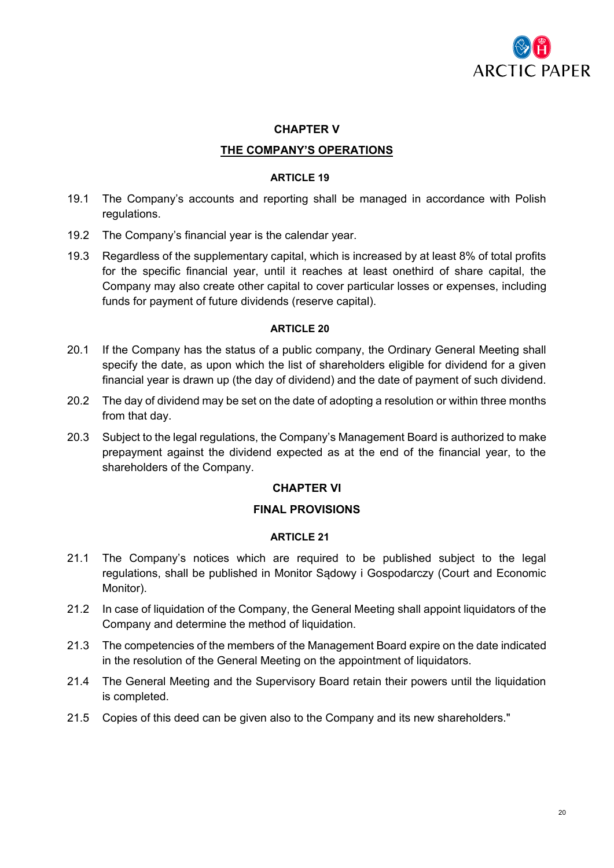

# **CHAPTER V**

# **THE COMPANY'S OPERATIONS**

### **ARTICLE 19**

- 19.1 The Company's accounts and reporting shall be managed in accordance with Polish regulations.
- 19.2 The Company's financial year is the calendar year.
- 19.3 Regardless of the supplementary capital, which is increased by at least 8% of total profits for the specific financial year, until it reaches at least onethird of share capital, the Company may also create other capital to cover particular losses or expenses, including funds for payment of future dividends (reserve capital).

### **ARTICLE 20**

- 20.1 If the Company has the status of a public company, the Ordinary General Meeting shall specify the date, as upon which the list of shareholders eligible for dividend for a given financial year is drawn up (the day of dividend) and the date of payment of such dividend.
- 20.2 The day of dividend may be set on the date of adopting a resolution or within three months from that day.
- 20.3 Subject to the legal regulations, the Company's Management Board is authorized to make prepayment against the dividend expected as at the end of the financial year, to the shareholders of the Company.

# **CHAPTER VI**

# **FINAL PROVISIONS**

- 21.1 The Company's notices which are required to be published subject to the legal regulations, shall be published in Monitor Sądowy i Gospodarczy (Court and Economic Monitor).
- 21.2 In case of liquidation of the Company, the General Meeting shall appoint liquidators of the Company and determine the method of liquidation.
- 21.3 The competencies of the members of the Management Board expire on the date indicated in the resolution of the General Meeting on the appointment of liquidators.
- 21.4 The General Meeting and the Supervisory Board retain their powers until the liquidation is completed.
- 21.5 Copies of this deed can be given also to the Company and its new shareholders."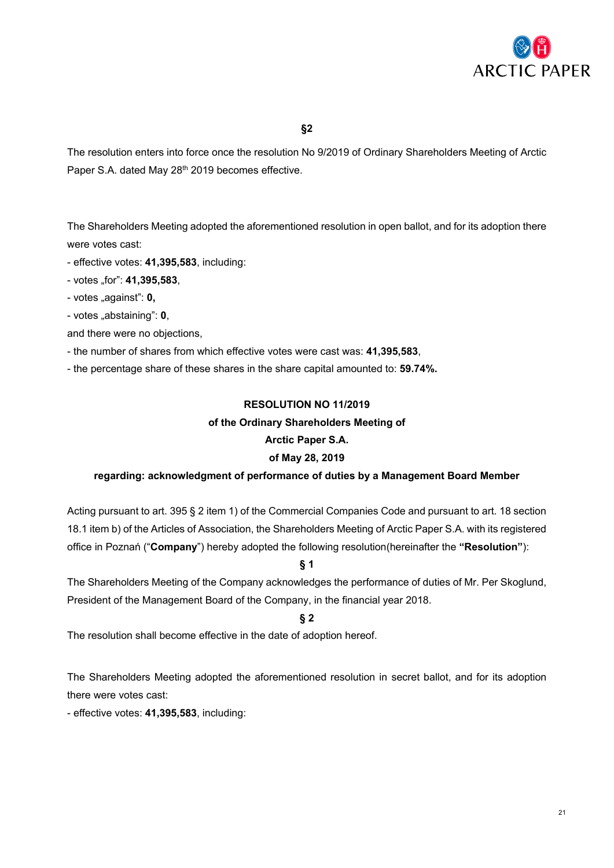

The resolution enters into force once the resolution No 9/2019 of Ordinary Shareholders Meeting of Arctic Paper S.A. dated May 28<sup>th</sup> 2019 becomes effective.

The Shareholders Meeting adopted the aforementioned resolution in open ballot, and for its adoption there were votes cast:

- effective votes: **41,395,583**, including:

- votes "for": **41,395,583**,
- votes "against": **0,**
- votes "abstaining": **0**,
- and there were no objections,
- the number of shares from which effective votes were cast was: **41,395,583**,

- the percentage share of these shares in the share capital amounted to: **59.74%.**

# **RESOLUTION NO 11/2019**

### **of the Ordinary Shareholders Meeting of**

# **Arctic Paper S.A.**

# **of May 28, 2019**

# **regarding: acknowledgment of performance of duties by a Management Board Member**

Acting pursuant to art. 395 § 2 item 1) of the Commercial Companies Code and pursuant to art. 18 section 18.1 item b) of the Articles of Association, the Shareholders Meeting of Arctic Paper S.A. with its registered office in Poznań ("**Company**") hereby adopted the following resolution(hereinafter the **"Resolution"**):

**§ 1**

The Shareholders Meeting of the Company acknowledges the performance of duties of Mr. Per Skoglund, President of the Management Board of the Company, in the financial year 2018.

# **§ 2**

The resolution shall become effective in the date of adoption hereof.

The Shareholders Meeting adopted the aforementioned resolution in secret ballot, and for its adoption there were votes cast:

- effective votes: **41,395,583**, including: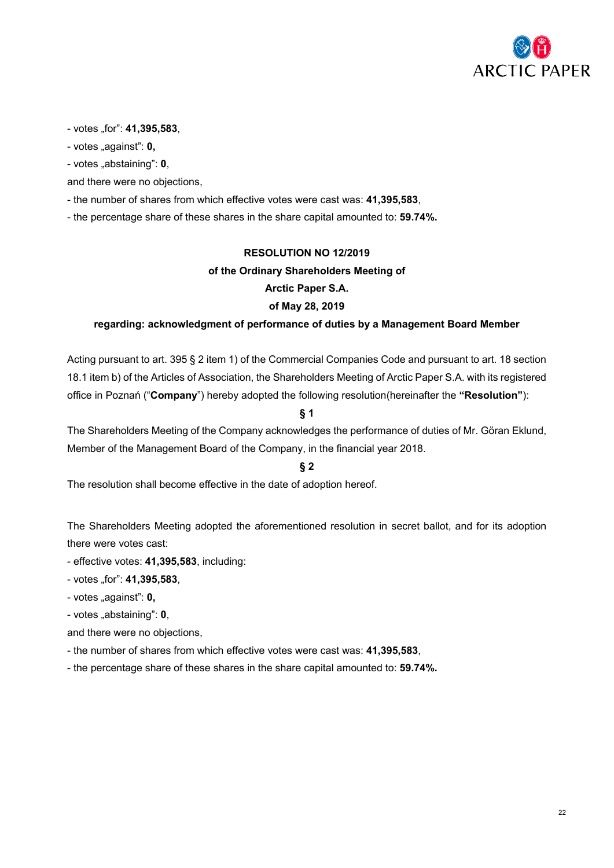

- votes "for": **41,395,583**,

- votes "against": **0**,

- votes "abstaining": **0**,

and there were no objections,

- the number of shares from which effective votes were cast was: **41,395,583**,

- the percentage share of these shares in the share capital amounted to: **59.74%.**

# **RESOLUTION NO 12/2019**

### **of the Ordinary Shareholders Meeting of**

**Arctic Paper S.A.**

### **of May 28, 2019**

### **regarding: acknowledgment of performance of duties by a Management Board Member**

Acting pursuant to art. 395 § 2 item 1) of the Commercial Companies Code and pursuant to art. 18 section 18.1 item b) of the Articles of Association, the Shareholders Meeting of Arctic Paper S.A. with its registered office in Poznań ("**Company**") hereby adopted the following resolution(hereinafter the **"Resolution"**):

# **§ 1**

The Shareholders Meeting of the Company acknowledges the performance of duties of Mr. Göran Eklund, Member of the Management Board of the Company, in the financial year 2018.

# **§ 2**

The resolution shall become effective in the date of adoption hereof.

The Shareholders Meeting adopted the aforementioned resolution in secret ballot, and for its adoption there were votes cast:

- effective votes: **41,395,583**, including:
- votes "for": **41,395,583**,
- votes "against": **0**,
- votes "abstaining": **0**,

and there were no objections,

- the number of shares from which effective votes were cast was: **41,395,583**,
- the percentage share of these shares in the share capital amounted to: **59.74%.**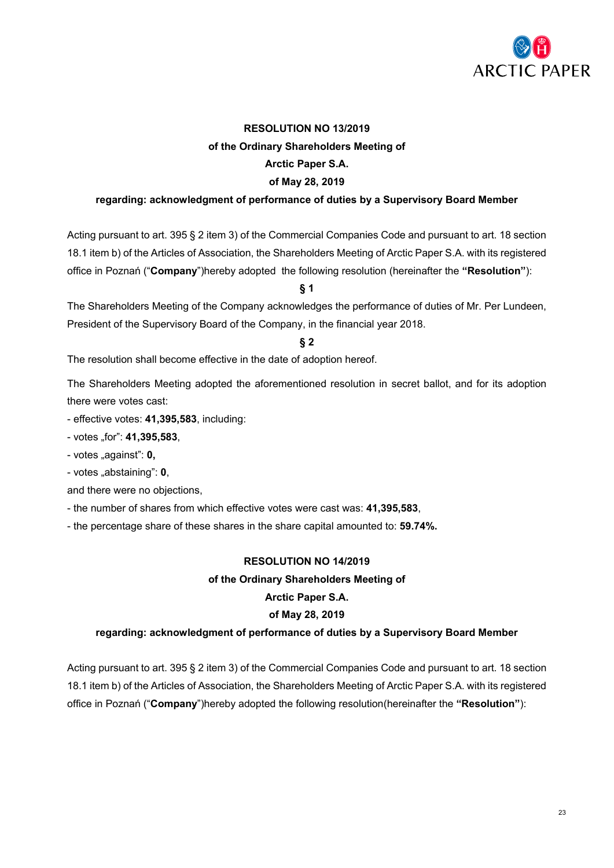

# **RESOLUTION NO 13/2019 of the Ordinary Shareholders Meeting of Arctic Paper S.A. of May 28, 2019**

# **regarding: acknowledgment of performance of duties by a Supervisory Board Member**

Acting pursuant to art. 395 § 2 item 3) of the Commercial Companies Code and pursuant to art. 18 section 18.1 item b) of the Articles of Association, the Shareholders Meeting of Arctic Paper S.A. with its registered office in Poznań ("**Company**")hereby adopted the following resolution (hereinafter the **"Resolution"**):

### **§ 1**

The Shareholders Meeting of the Company acknowledges the performance of duties of Mr. Per Lundeen, President of the Supervisory Board of the Company, in the financial year 2018.

### **§ 2**

The resolution shall become effective in the date of adoption hereof.

The Shareholders Meeting adopted the aforementioned resolution in secret ballot, and for its adoption there were votes cast:

- effective votes: **41,395,583**, including:

- votes "for": **41,395,583**,

- votes "against": **0,** 

- votes "abstaining": **0**,

and there were no objections,

- the number of shares from which effective votes were cast was: **41,395,583**,

- the percentage share of these shares in the share capital amounted to: **59.74%.**

# **RESOLUTION NO 14/2019**

### **of the Ordinary Shareholders Meeting of**

#### **Arctic Paper S.A.**

# **of May 28, 2019**

#### **regarding: acknowledgment of performance of duties by a Supervisory Board Member**

Acting pursuant to art. 395 § 2 item 3) of the Commercial Companies Code and pursuant to art. 18 section 18.1 item b) of the Articles of Association, the Shareholders Meeting of Arctic Paper S.A. with its registered office in Poznań ("**Company**")hereby adopted the following resolution(hereinafter the **"Resolution"**):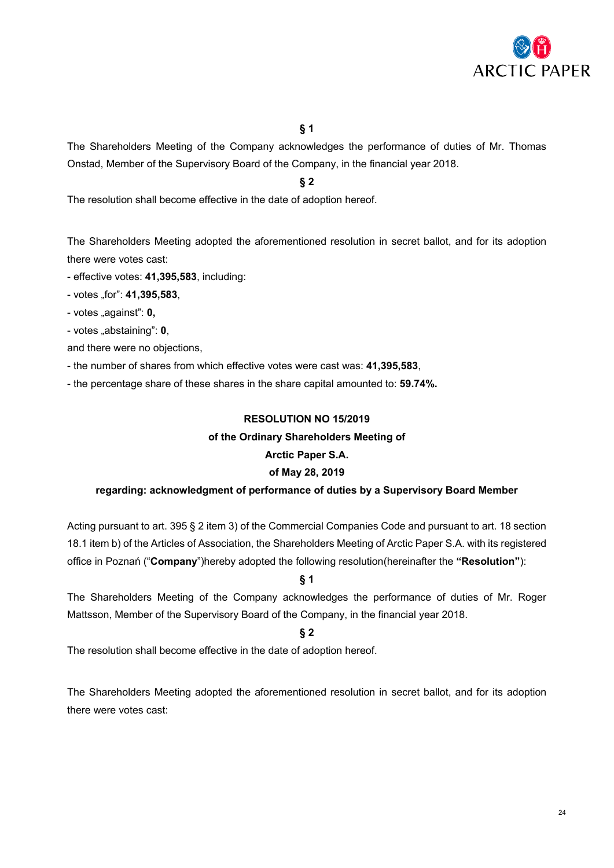

The Shareholders Meeting of the Company acknowledges the performance of duties of Mr. Thomas Onstad, Member of the Supervisory Board of the Company, in the financial year 2018.

**§ 2**

The resolution shall become effective in the date of adoption hereof.

The Shareholders Meeting adopted the aforementioned resolution in secret ballot, and for its adoption there were votes cast:

- effective votes: **41,395,583**, including:

- votes "for": **41,395,583**,

- votes "against": **0,**

- votes "abstaining": **0**,

and there were no objections,

- the number of shares from which effective votes were cast was: **41,395,583**,

- the percentage share of these shares in the share capital amounted to: **59.74%.**

# **RESOLUTION NO 15/2019**

### **of the Ordinary Shareholders Meeting of**

# **Arctic Paper S.A.**

# **of May 28, 2019**

# **regarding: acknowledgment of performance of duties by a Supervisory Board Member**

Acting pursuant to art. 395 § 2 item 3) of the Commercial Companies Code and pursuant to art. 18 section 18.1 item b) of the Articles of Association, the Shareholders Meeting of Arctic Paper S.A. with its registered office in Poznań ("**Company**")hereby adopted the following resolution(hereinafter the **"Resolution"**):

**§ 1**

The Shareholders Meeting of the Company acknowledges the performance of duties of Mr. Roger Mattsson, Member of the Supervisory Board of the Company, in the financial year 2018.

**§ 2**

The resolution shall become effective in the date of adoption hereof.

The Shareholders Meeting adopted the aforementioned resolution in secret ballot, and for its adoption there were votes cast: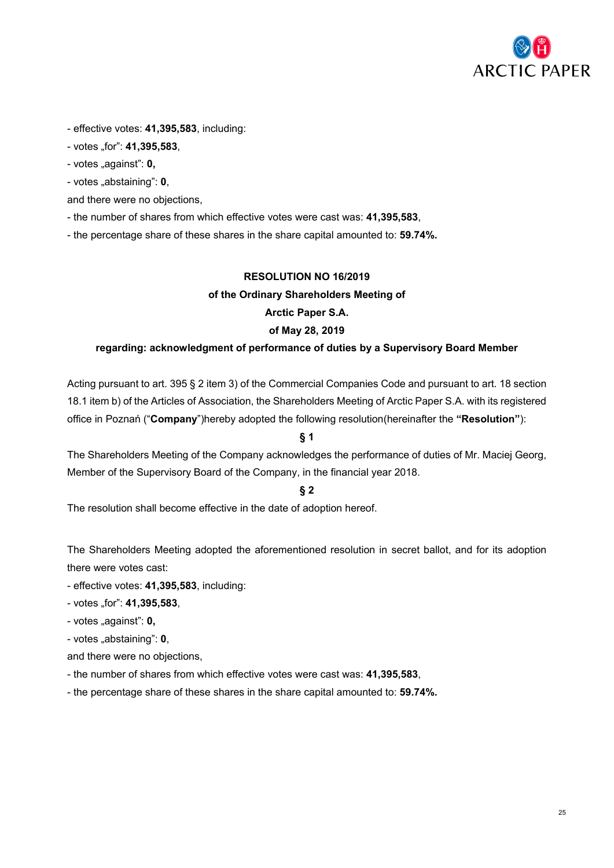

- effective votes: **41,395,583**, including:

- votes "for": **41,395,583**,

- votes "against": **0**,

- votes "abstaining": **0**,

and there were no objections,

- the number of shares from which effective votes were cast was: **41,395,583**,

- the percentage share of these shares in the share capital amounted to: **59.74%.**

# **RESOLUTION NO 16/2019**

### **of the Ordinary Shareholders Meeting of**

### **Arctic Paper S.A.**

### **of May 28, 2019**

### **regarding: acknowledgment of performance of duties by a Supervisory Board Member**

Acting pursuant to art. 395 § 2 item 3) of the Commercial Companies Code and pursuant to art. 18 section 18.1 item b) of the Articles of Association, the Shareholders Meeting of Arctic Paper S.A. with its registered office in Poznań ("**Company**")hereby adopted the following resolution(hereinafter the **"Resolution"**):

# **§ 1**

The Shareholders Meeting of the Company acknowledges the performance of duties of Mr. Maciej Georg, Member of the Supervisory Board of the Company, in the financial year 2018.

# **§ 2**

The resolution shall become effective in the date of adoption hereof.

The Shareholders Meeting adopted the aforementioned resolution in secret ballot, and for its adoption there were votes cast:

- effective votes: **41,395,583**, including:
- votes "for": **41,395,583**,
- votes "against": **0,**
- votes "abstaining": **0**,

and there were no objections,

- the number of shares from which effective votes were cast was: **41,395,583**,
- the percentage share of these shares in the share capital amounted to: **59.74%.**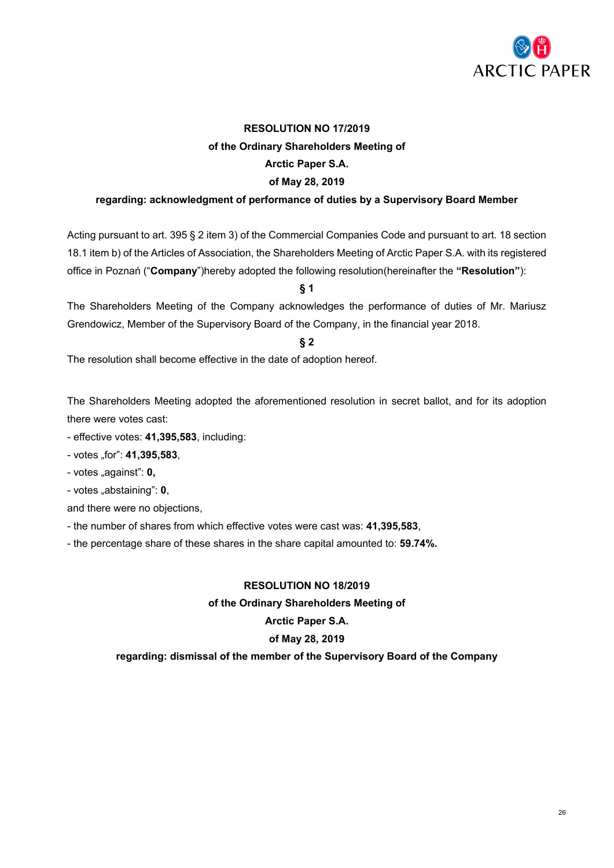

# **RESOLUTION NO 17/2019 of the Ordinary Shareholders Meeting of Arctic Paper S.A. of May 28, 2019**

# **regarding: acknowledgment of performance of duties by a Supervisory Board Member**

Acting pursuant to art. 395 § 2 item 3) of the Commercial Companies Code and pursuant to art. 18 section 18.1 item b) of the Articles of Association, the Shareholders Meeting of Arctic Paper S.A. with its registered office in Poznań ("**Company**")hereby adopted the following resolution(hereinafter the **"Resolution"**):

**§ 1**

The Shareholders Meeting of the Company acknowledges the performance of duties of Mr. Mariusz Grendowicz, Member of the Supervisory Board of the Company, in the financial year 2018.

**§ 2**

The resolution shall become effective in the date of adoption hereof.

The Shareholders Meeting adopted the aforementioned resolution in secret ballot, and for its adoption there were votes cast:

- effective votes: **41,395,583**, including:
- votes "for": **41,395,583**,
- votes "against": **0,**
- votes "abstaining": **0**,

and there were no objections,

- the number of shares from which effective votes were cast was: **41,395,583**,
- the percentage share of these shares in the share capital amounted to: **59.74%.**

#### **RESOLUTION NO 18/2019**

#### **of the Ordinary Shareholders Meeting of**

#### **Arctic Paper S.A.**

#### **of May 28, 2019**

#### **regarding: dismissal of the member of the Supervisory Board of the Company**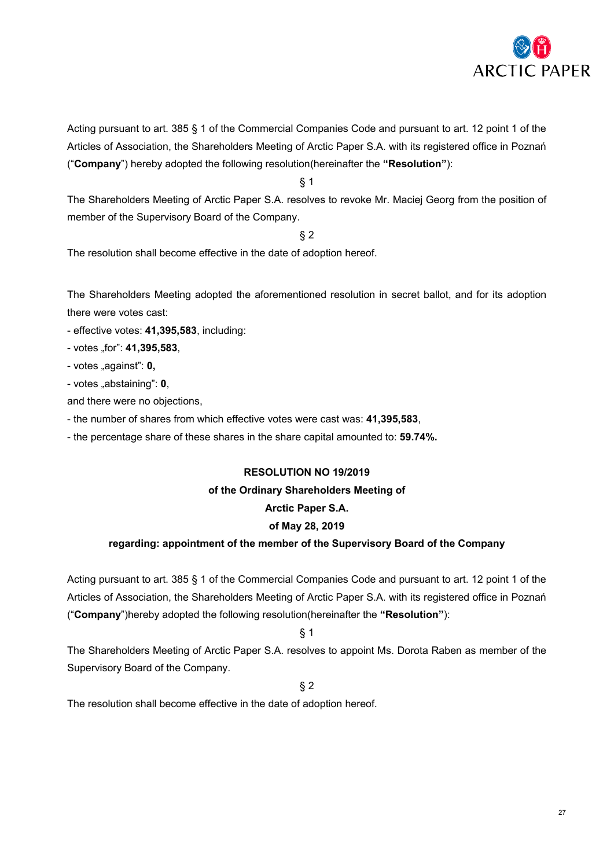

Acting pursuant to art. 385 § 1 of the Commercial Companies Code and pursuant to art. 12 point 1 of the Articles of Association, the Shareholders Meeting of Arctic Paper S.A. with its registered office in Poznań ("**Company**") hereby adopted the following resolution(hereinafter the **"Resolution"**):

§ 1

The Shareholders Meeting of Arctic Paper S.A. resolves to revoke Mr. Maciej Georg from the position of member of the Supervisory Board of the Company.

§ 2

The resolution shall become effective in the date of adoption hereof.

The Shareholders Meeting adopted the aforementioned resolution in secret ballot, and for its adoption there were votes cast:

- effective votes: **41,395,583**, including:
- votes "for": **41,395,583**,
- votes "against": **0**,
- votes "abstaining": **0**,

and there were no objections,

- the number of shares from which effective votes were cast was: **41,395,583**,
- the percentage share of these shares in the share capital amounted to: **59.74%.**

# **RESOLUTION NO 19/2019**

# **of the Ordinary Shareholders Meeting of**

# **Arctic Paper S.A.**

# **of May 28, 2019**

# **regarding: appointment of the member of the Supervisory Board of the Company**

Acting pursuant to art. 385 § 1 of the Commercial Companies Code and pursuant to art. 12 point 1 of the Articles of Association, the Shareholders Meeting of Arctic Paper S.A. with its registered office in Poznań ("**Company**")hereby adopted the following resolution(hereinafter the **"Resolution"**):

§ 1

The Shareholders Meeting of Arctic Paper S.A. resolves to appoint Ms. Dorota Raben as member of the Supervisory Board of the Company.

§ 2

The resolution shall become effective in the date of adoption hereof.